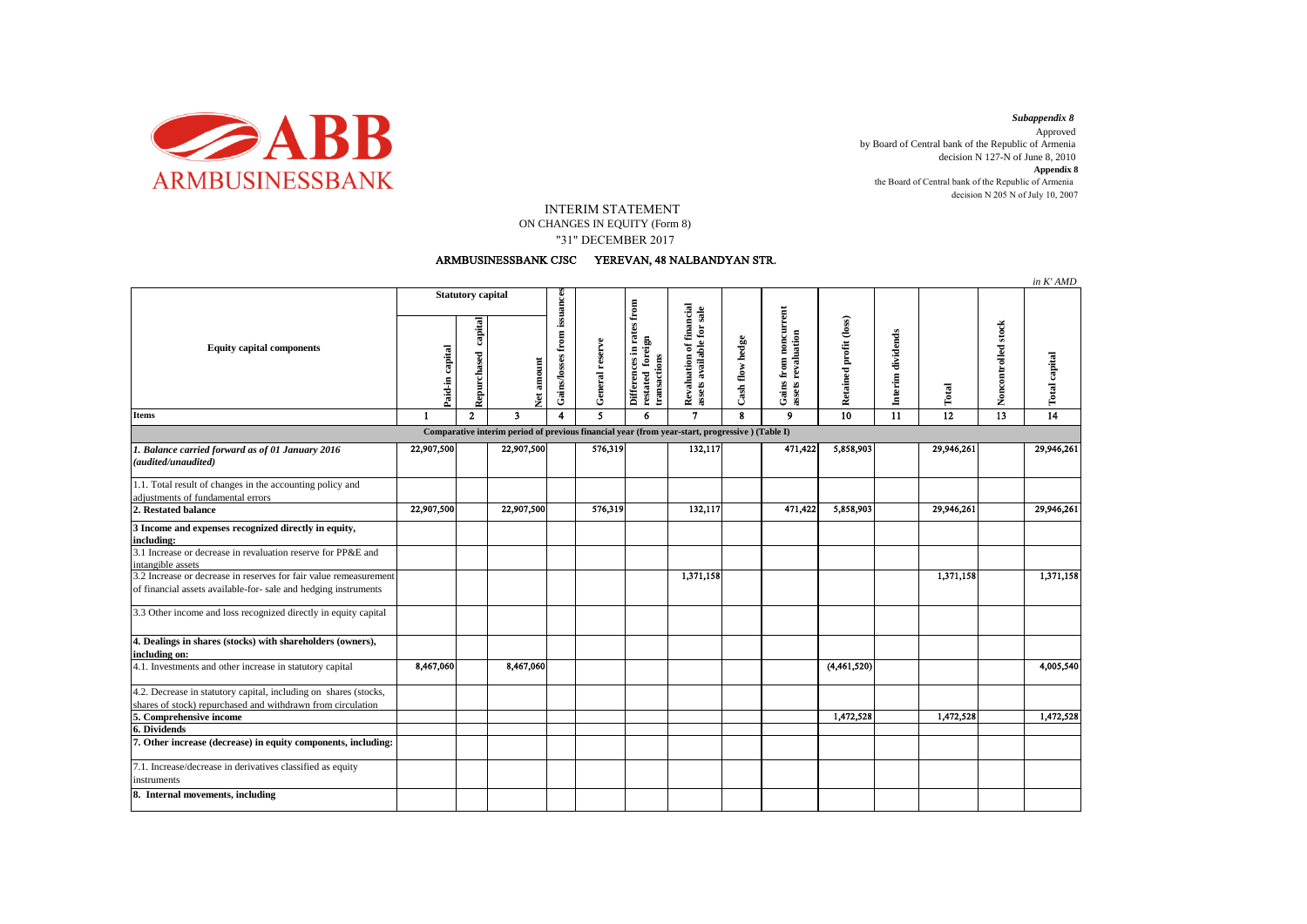

decision N 205 N of July 10, 2007 *Subappendix 8*  Approved by Board of Central bank of the Republic of Armenia decision N 127-N of June 8, 2010 **Appendix 8** the Board of Central bank of the Republic of Armenia

## INTERIM STATEMENT

ON CHANGES IN EQUITY (Form 8) "31" DECEMBER 2017

## ARMBUSINESSBANK CJSC YEREVAN, 48 NALBANDYAN STR.

|                                                                                                                                      |                          |                        |                         |                             |                 |                                                               |                                                       |                 |                                             |                        |                   |            |                     | in K'AMD             |
|--------------------------------------------------------------------------------------------------------------------------------------|--------------------------|------------------------|-------------------------|-----------------------------|-----------------|---------------------------------------------------------------|-------------------------------------------------------|-----------------|---------------------------------------------|------------------------|-------------------|------------|---------------------|----------------------|
| <b>Equity capital components</b>                                                                                                     | <b>Statutory capital</b> |                        |                         |                             |                 |                                                               |                                                       |                 |                                             |                        |                   |            |                     |                      |
|                                                                                                                                      | Paid-in capital          | capital<br>Repurchased | Net amount              | Gains/losses from issuances | General reserve | Differences in rates from<br>restated foreign<br>transactions | Revaluation of financial<br>assets available for sale | Cash flow hedge | Gains from noncurrent<br>assets revaluation | Retained profit (loss) | Interim dividends | Total      | Noncontrolled stock | <b>Total capital</b> |
| <b>Items</b>                                                                                                                         | $\mathbf{1}$             | $\overline{2}$         | $\overline{\mathbf{3}}$ | 4                           | 5               | 6                                                             | $\overline{7}$                                        | $\mathbf{R}$    | 9                                           | 10                     | $\overline{11}$   | 12         | $\overline{13}$     | $\overline{14}$      |
| Comparative interim period of previous financial year (from year-start, progressive) (Table I)                                       |                          |                        |                         |                             |                 |                                                               |                                                       |                 |                                             |                        |                   |            |                     |                      |
| 1. Balance carried forward as of 01 January 2016<br>(audited/unaudited)                                                              | 22,907,500               |                        | 22,907,500              |                             | 576,319         |                                                               | 132,117                                               |                 | 471,422                                     | 5,858,903              |                   | 29,946,261 |                     | 29,946,261           |
| 1.1. Total result of changes in the accounting policy and<br>adjustments of fundamental errors                                       |                          |                        |                         |                             |                 |                                                               |                                                       |                 |                                             |                        |                   |            |                     |                      |
| 2. Restated balance                                                                                                                  | 22,907,500               |                        | 22,907,500              |                             | 576,319         |                                                               | 132,117                                               |                 | 471,422                                     | 5,858,903              |                   | 29,946,261 |                     | 29,946,261           |
| 3 Income and expenses recognized directly in equity,<br>including:                                                                   |                          |                        |                         |                             |                 |                                                               |                                                       |                 |                                             |                        |                   |            |                     |                      |
| 3.1 Increase or decrease in revaluation reserve for PP&E and<br>intangible assets                                                    |                          |                        |                         |                             |                 |                                                               |                                                       |                 |                                             |                        |                   |            |                     |                      |
| 3.2 Increase or decrease in reserves for fair value remeasurement<br>of financial assets available-for- sale and hedging instruments |                          |                        |                         |                             |                 |                                                               | 1,371,158                                             |                 |                                             |                        |                   | 1,371,158  |                     | 1,371,158            |
| 3.3 Other income and loss recognized directly in equity capital                                                                      |                          |                        |                         |                             |                 |                                                               |                                                       |                 |                                             |                        |                   |            |                     |                      |
| 4. Dealings in shares (stocks) with shareholders (owners),<br>including on:                                                          |                          |                        |                         |                             |                 |                                                               |                                                       |                 |                                             |                        |                   |            |                     |                      |
| 4.1. Investments and other increase in statutory capital                                                                             | 8,467,060                |                        | 8,467,060               |                             |                 |                                                               |                                                       |                 |                                             | (4,461,520)            |                   |            |                     | 4,005,540            |
| 4.2. Decrease in statutory capital, including on shares (stocks,                                                                     |                          |                        |                         |                             |                 |                                                               |                                                       |                 |                                             |                        |                   |            |                     |                      |
| shares of stock) repurchased and withdrawn from circulation<br>5. Comprehensive income                                               |                          |                        |                         |                             |                 |                                                               |                                                       |                 |                                             | 1,472,528              |                   | 1,472,528  |                     | 1,472,528            |
| 6. Dividends                                                                                                                         |                          |                        |                         |                             |                 |                                                               |                                                       |                 |                                             |                        |                   |            |                     |                      |
| 7. Other increase (decrease) in equity components, including:                                                                        |                          |                        |                         |                             |                 |                                                               |                                                       |                 |                                             |                        |                   |            |                     |                      |
| 7.1. Increase/decrease in derivatives classified as equity<br>instruments                                                            |                          |                        |                         |                             |                 |                                                               |                                                       |                 |                                             |                        |                   |            |                     |                      |
| 8. Internal movements, including                                                                                                     |                          |                        |                         |                             |                 |                                                               |                                                       |                 |                                             |                        |                   |            |                     |                      |